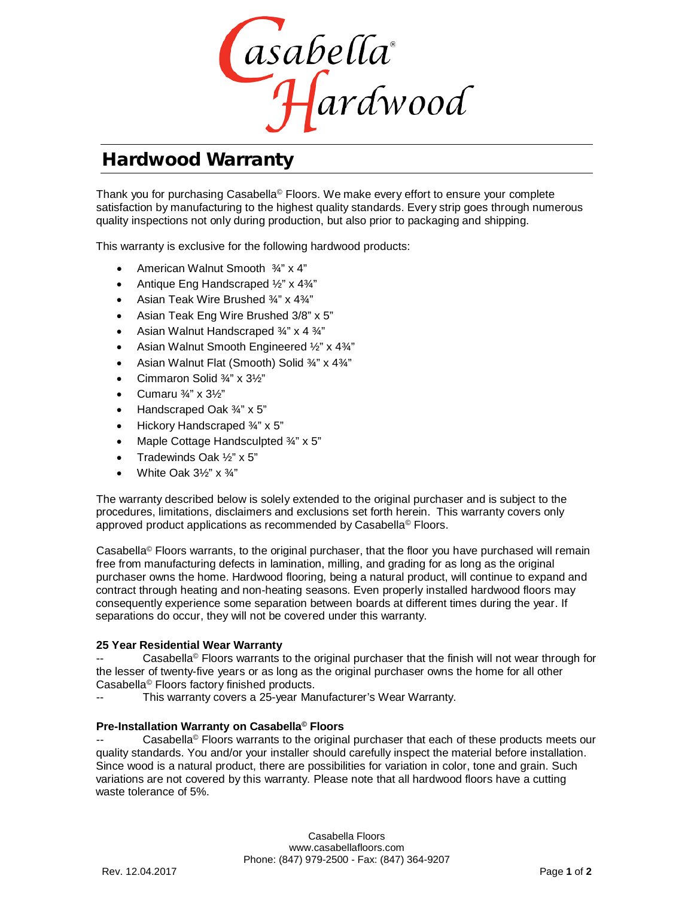

# Hardwood Warranty

J Thank you for purchasing Casabella© Floors. We make every effort to ensure your complete satisfaction by manufacturing to the highest quality standards. Every strip goes through numerous quality inspections not only during production, but also prior to packaging and shipping.

This warranty is exclusive for the following hardwood products:

- American Walnut Smooth ¾" x 4"
- Antique Eng Handscraped ½" x 4¾"
- Asian Teak Wire Brushed ¾" x 4¾"
- Asian Teak Eng Wire Brushed 3/8" x 5"
- Asian Walnut Handscraped ¾" x 4 ¾"
- Asian Walnut Smooth Engineered ½" x 4¾"
- Asian Walnut Flat (Smooth) Solid ¾" x 4¾"
- Cimmaron Solid ¾" x 3½"
- Cumaru ¾" x 3½"
- Handscraped Oak ¾" x 5"
- Hickory Handscraped ¾" x 5"
- Maple Cottage Handsculpted ¾" x 5"
- Tradewinds Oak ½" x 5"
- White Oak 3½" x ¾"

The warranty described below is solely extended to the original purchaser and is subject to the procedures, limitations, disclaimers and exclusions set forth herein. This warranty covers only approved product applications as recommended by Casabella© Floors.

Casabella© Floors warrants, to the original purchaser, that the floor you have purchased will remain free from manufacturing defects in lamination, milling, and grading for as long as the original purchaser owns the home. Hardwood flooring, being a natural product, will continue to expand and contract through heating and non-heating seasons. Even properly installed hardwood floors may consequently experience some separation between boards at different times during the year. If separations do occur, they will not be covered under this warranty.

## **25 Year Residential Wear Warranty**

Casabella<sup>®</sup> Floors warrants to the original purchaser that the finish will not wear through for the lesser of twenty-five years or as long as the original purchaser owns the home for all other Casabella© Floors factory finished products.

This warranty covers a 25-year Manufacturer's Wear Warranty.

## **Pre-Installation Warranty on Casabella© Floors**

Casabella<sup> $@$ </sup> Floors warrants to the original purchaser that each of these products meets our quality standards. You and/or your installer should carefully inspect the material before installation. Since wood is a natural product, there are possibilities for variation in color, tone and grain. Such variations are not covered by this warranty. Please note that all hardwood floors have a cutting waste tolerance of 5%.